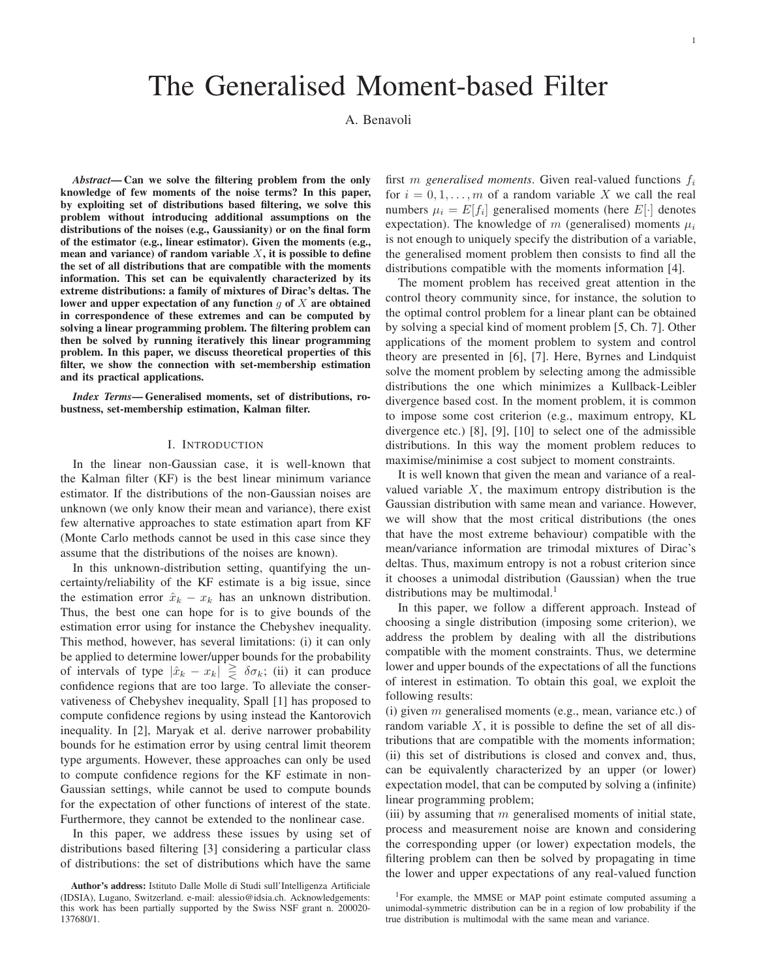# The Generalised Moment-based Filter

A. Benavoli

*Abstract***— Can we solve the filtering problem from the only knowledge of few moments of the noise terms? In this paper, by exploiting set of distributions based filtering, we solve this problem without introducing additional assumptions on the distributions of the noises (e.g., Gaussianity) or on the final form of the estimator (e.g., linear estimator). Given the moments (e.g., mean and variance) of random variable** X**, it is possible to define the set of all distributions that are compatible with the moments information. This set can be equivalently characterized by its extreme distributions: a family of mixtures of Dirac's deltas. The** lower and upper expectation of any function  $q$  of  $X$  are obtained **in correspondence of these extremes and can be computed by solving a linear programming problem. The filtering problem can then be solved by running iteratively this linear programming problem. In this paper, we discuss theoretical properties of this filter, we show the connection with set-membership estimation and its practical applications.**

*Index Terms***— Generalised moments, set of distributions, robustness, set-membership estimation, Kalman filter.**

## I. INTRODUCTION

In the linear non-Gaussian case, it is well-known that the Kalman filter (KF) is the best linear minimum variance estimator. If the distributions of the non-Gaussian noises are unknown (we only know their mean and variance), there exist few alternative approaches to state estimation apart from KF (Monte Carlo methods cannot be used in this case since they assume that the distributions of the noises are known).

In this unknown-distribution setting, quantifying the uncertainty/reliability of the KF estimate is a big issue, since the estimation error  $\hat{x}_k - x_k$  has an unknown distribution. Thus, the best one can hope for is to give bounds of the estimation error using for instance the Chebyshev inequality. This method, however, has several limitations: (i) it can only be applied to determine lower/upper bounds for the probability of intervals of type  $|\hat{x}_k - x_k| \ge \delta \sigma_k$ ; (ii) it can produce confidence regions that are too large. To alleviate the conservativeness of Chebyshev inequality, Spall [1] has proposed to compute confidence regions by using instead the Kantorovich inequality. In [2], Maryak et al. derive narrower probability bounds for he estimation error by using central limit theorem type arguments. However, these approaches can only be used to compute confidence regions for the KF estimate in non-Gaussian settings, while cannot be used to compute bounds for the expectation of other functions of interest of the state. Furthermore, they cannot be extended to the nonlinear case.

In this paper, we address these issues by using set of distributions based filtering [3] considering a particular class of distributions: the set of distributions which have the same

first *m* generalised moments. Given real-valued functions  $f_i$ for  $i = 0, 1, \ldots, m$  of a random variable X we call the real numbers  $\mu_i = E[f_i]$  generalised moments (here  $E[\cdot]$  denotes expectation). The knowledge of m (generalised) moments  $\mu_i$ is not enough to uniquely specify the distribution of a variable, the generalised moment problem then consists to find all the distributions compatible with the moments information [4].

The moment problem has received great attention in the control theory community since, for instance, the solution to the optimal control problem for a linear plant can be obtained by solving a special kind of moment problem [5, Ch. 7]. Other applications of the moment problem to system and control theory are presented in [6], [7]. Here, Byrnes and Lindquist solve the moment problem by selecting among the admissible distributions the one which minimizes a Kullback-Leibler divergence based cost. In the moment problem, it is common to impose some cost criterion (e.g., maximum entropy, KL divergence etc.) [8], [9], [10] to select one of the admissible distributions. In this way the moment problem reduces to maximise/minimise a cost subject to moment constraints.

It is well known that given the mean and variance of a realvalued variable  $X$ , the maximum entropy distribution is the Gaussian distribution with same mean and variance. However, we will show that the most critical distributions (the ones that have the most extreme behaviour) compatible with the mean/variance information are trimodal mixtures of Dirac's deltas. Thus, maximum entropy is not a robust criterion since it chooses a unimodal distribution (Gaussian) when the true distributions may be multimodal.<sup>1</sup>

In this paper, we follow a different approach. Instead of choosing a single distribution (imposing some criterion), we address the problem by dealing with all the distributions compatible with the moment constraints. Thus, we determine lower and upper bounds of the expectations of all the functions of interest in estimation. To obtain this goal, we exploit the following results:

(i) given  $m$  generalised moments (e.g., mean, variance etc.) of random variable  $X$ , it is possible to define the set of all distributions that are compatible with the moments information; (ii) this set of distributions is closed and convex and, thus, can be equivalently characterized by an upper (or lower) expectation model, that can be computed by solving a (infinite) linear programming problem;

(iii) by assuming that  $m$  generalised moments of initial state, process and measurement noise are known and considering the corresponding upper (or lower) expectation models, the filtering problem can then be solved by propagating in time the lower and upper expectations of any real-valued function

**Author's address:** Istituto Dalle Molle di Studi sull'Intelligenza Artificiale (IDSIA), Lugano, Switzerland. e-mail: alessio@idsia.ch. Acknowledgements: this work has been partially supported by the Swiss NSF grant n. 200020- 137680/1.

<sup>&</sup>lt;sup>1</sup>For example, the MMSE or MAP point estimate computed assuming a unimodal-symmetric distribution can be in a region of low probability if the true distribution is multimodal with the same mean and variance.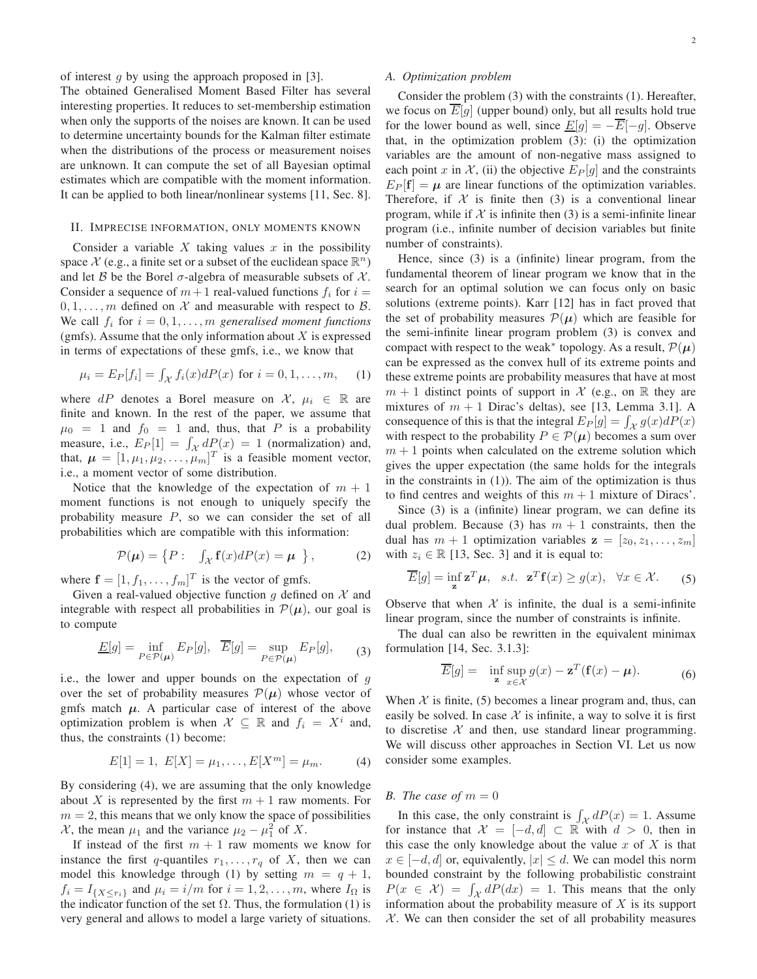of interest q by using the approach proposed in [3].

The obtained Generalised Moment Based Filter has several interesting properties. It reduces to set-membership estimation when only the supports of the noises are known. It can be used to determine uncertainty bounds for the Kalman filter estimate when the distributions of the process or measurement noises are unknown. It can compute the set of all Bayesian optimal estimates which are compatible with the moment information. It can be applied to both linear/nonlinear systems [11, Sec. 8].

#### II. IMPRECISE INFORMATION, ONLY MOMENTS KNOWN

Consider a variable X taking values x in the possibility space  $\mathcal X$  (e.g., a finite set or a subset of the euclidean space  $\mathbb R^n$ ) and let B be the Borel  $\sigma$ -algebra of measurable subsets of X. Consider a sequence of  $m+1$  real-valued functions  $f_i$  for  $i =$  $0, 1, \ldots, m$  defined on X and measurable with respect to B. We call  $f_i$  for  $i = 0, 1, \ldots, m$  generalised moment functions (gmfs). Assume that the only information about  $X$  is expressed in terms of expectations of these gmfs, i.e., we know that

$$
\mu_i = E_P[f_i] = \int_{\mathcal{X}} f_i(x) dP(x)
$$
 for  $i = 0, 1, ..., m$ , (1)

where dP denotes a Borel measure on  $\mathcal{X}, \mu_i \in \mathbb{R}$  are finite and known. In the rest of the paper, we assume that  $\mu_0 = 1$  and  $f_0 = 1$  and, thus, that P is a probability measure, i.e.,  $E_P[1] = \int_{\mathcal{X}} dP(x) = 1$  (normalization) and, that,  $\mu = [1, \mu_1, \mu_2, \dots, \mu_m]^T$  is a feasible moment vector, i.e., a moment vector of some distribution.

Notice that the knowledge of the expectation of  $m + 1$ moment functions is not enough to uniquely specify the probability measure  $P$ , so we can consider the set of all probabilities which are compatible with this information:

$$
\mathcal{P}(\mu) = \left\{ P : \int_{\mathcal{X}} \mathbf{f}(x) dP(x) = \mu \right\},\tag{2}
$$

where  $\mathbf{f} = [1, f_1, \dots, f_m]^T$  is the vector of gmfs.

Given a real-valued objective function g defined on  $\mathcal X$  and integrable with respect all probabilities in  $\mathcal{P}(\mu)$ , our goal is to compute

$$
\underline{E}[g] = \inf_{P \in \mathcal{P}(\mu)} E_P[g], \quad \overline{E}[g] = \sup_{P \in \mathcal{P}(\mu)} E_P[g], \tag{3}
$$

i.e., the lower and upper bounds on the expectation of  $q$ over the set of probability measures  $\mathcal{P}(\mu)$  whose vector of gmfs match  $\mu$ . A particular case of interest of the above optimization problem is when  $\mathcal{X} \subseteq \mathbb{R}$  and  $f_i = X^i$  and, thus, the constraints (1) become:

$$
E[1] = 1, E[X] = \mu_1, \dots, E[X^m] = \mu_m.
$$
 (4)

By considering (4), we are assuming that the only knowledge about X is represented by the first  $m + 1$  raw moments. For  $m = 2$ , this means that we only know the space of possibilities  $\mathcal{X}$ , the mean  $\mu_1$  and the variance  $\mu_2 - \mu_1^2$  of X.

If instead of the first  $m + 1$  raw moments we know for instance the first q-quantiles  $r_1, \ldots, r_q$  of X, then we can model this knowledge through (1) by setting  $m = q + 1$ ,  $f_i = I_{\{X \le r_i\}}$  and  $\mu_i = i/m$  for  $i = 1, 2, ..., m$ , where  $I_{\Omega}$  is the indicator function of the set  $\Omega$ . Thus, the formulation (1) is very general and allows to model a large variety of situations.

## *A. Optimization problem*

Consider the problem (3) with the constraints (1). Hereafter, we focus on  $\overline{E}[g]$  (upper bound) only, but all results hold true for the lower bound as well, since  $\underline{E}[g] = -\overline{E}[-g]$ . Observe that, in the optimization problem (3): (i) the optimization variables are the amount of non-negative mass assigned to each point x in X, (ii) the objective  $E_P[g]$  and the constraints  $E_P [f] = \mu$  are linear functions of the optimization variables. Therefore, if  $X$  is finite then (3) is a conventional linear program, while if  $X$  is infinite then (3) is a semi-infinite linear program (i.e., infinite number of decision variables but finite number of constraints).

Hence, since (3) is a (infinite) linear program, from the fundamental theorem of linear program we know that in the search for an optimal solution we can focus only on basic solutions (extreme points). Karr [12] has in fact proved that the set of probability measures  $\mathcal{P}(\mu)$  which are feasible for the semi-infinite linear program problem (3) is convex and compact with respect to the weak<sup>\*</sup> topology. As a result,  $\mathcal{P}(\mu)$ can be expressed as the convex hull of its extreme points and these extreme points are probability measures that have at most  $m + 1$  distinct points of support in X (e.g., on R they are mixtures of  $m + 1$  Dirac's deltas), see [13, Lemma 3.1]. A consequence of this is that the integral  $E_P[g] = \int_{\mathcal{X}} g(x) dP(x)$ with respect to the probability  $P \in \mathcal{P}(\mu)$  becomes a sum over  $m + 1$  points when calculated on the extreme solution which gives the upper expectation (the same holds for the integrals in the constraints in (1)). The aim of the optimization is thus to find centres and weights of this  $m + 1$  mixture of Diracs'.

Since (3) is a (infinite) linear program, we can define its dual problem. Because (3) has  $m + 1$  constraints, then the dual has  $m + 1$  optimization variables  $z = [z_0, z_1, \ldots, z_m]$ with  $z_i \in \mathbb{R}$  [13, Sec. 3] and it is equal to:

$$
\overline{E}[g] = \inf_{\mathbf{z}} \mathbf{z}^T \boldsymbol{\mu}, \quad s.t. \quad \mathbf{z}^T \mathbf{f}(x) \ge g(x), \quad \forall x \in \mathcal{X}.
$$
 (5)

Observe that when  $X$  is infinite, the dual is a semi-infinite linear program, since the number of constraints is infinite.

The dual can also be rewritten in the equivalent minimax formulation [14, Sec. 3.1.3]:

$$
\overline{E}[g] = \inf_{\mathbf{z}} \sup_{x \in \mathcal{X}} g(x) - \mathbf{z}^T (\mathbf{f}(x) - \boldsymbol{\mu}). \tag{6}
$$

When  $X$  is finite, (5) becomes a linear program and, thus, can easily be solved. In case  $X$  is infinite, a way to solve it is first to discretise  $X$  and then, use standard linear programming. We will discuss other approaches in Section VI. Let us now consider some examples.

## *B.* The case of  $m = 0$

In this case, the only constraint is  $\int_{\mathcal{X}} dP(x) = 1$ . Assume for instance that  $\mathcal{X} = [-d, d] \subset \mathbb{R}$  with  $d > 0$ , then in this case the only knowledge about the value  $x$  of  $X$  is that  $x \in [-d, d]$  or, equivalently,  $|x| \le d$ . We can model this norm bounded constraint by the following probabilistic constraint  $P(x \in \mathcal{X}) = \int_{\mathcal{X}} dP(dx) = 1$ . This means that the only information about the probability measure of  $X$  is its support  $X$ . We can then consider the set of all probability measures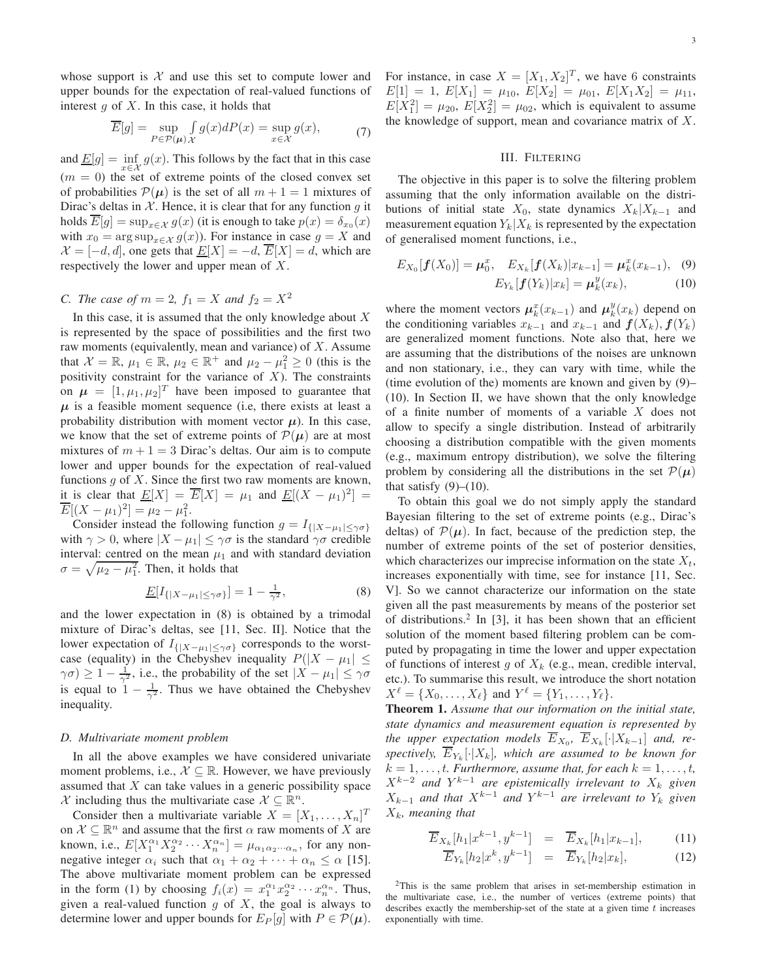whose support is  $X$  and use this set to compute lower and upper bounds for the expectation of real-valued functions of interest  $g$  of  $X$ . In this case, it holds that

$$
\overline{E}[g] = \sup_{P \in \mathcal{P}(\mu)} \int_{\mathcal{X}} g(x) dP(x) = \sup_{x \in \mathcal{X}} g(x),\tag{7}
$$

and  $\underline{E}[g] = \inf_{x \in \mathcal{X}} g(x)$ . This follows by the fact that in this case  $(m = 0)$  the set of extreme points of the closed convex set of probabilities  $P(\mu)$  is the set of all  $m + 1 = 1$  mixtures of Dirac's deltas in  $X$ . Hence, it is clear that for any function g it holds  $E[g] = \sup_{x \in \mathcal{X}} g(x)$  (it is enough to take  $p(x) = \delta_{x_0}(x)$ with  $x_0 = \arg \sup_{x \in \mathcal{X}} g(x)$ . For instance in case  $g = X$  and  $\mathcal{X} = [-d, d]$ , one gets that  $\underline{E}[X] = -d$ ,  $\overline{E}[X] = d$ , which are respectively the lower and upper mean of X.

# *C. The case of*  $m = 2$ ,  $f_1 = X$  *and*  $f_2 = X^2$

In this case, it is assumed that the only knowledge about  $X$ is represented by the space of possibilities and the first two raw moments (equivalently, mean and variance) of  $X$ . Assume that  $\mathcal{X} = \mathbb{R}$ ,  $\mu_1 \in \mathbb{R}$ ,  $\mu_2 \in \mathbb{R}^+$  and  $\mu_2 - \mu_1^2 \ge 0$  (this is the positivity constraint for the variance of  $X$ ). The constraints on  $\mu = [1, \mu_1, \mu_2]^T$  have been imposed to guarantee that  $\mu$  is a feasible moment sequence (i.e, there exists at least a probability distribution with moment vector  $\mu$ ). In this case, we know that the set of extreme points of  $\mathcal{P}(\mu)$  are at most mixtures of  $m + 1 = 3$  Dirac's deltas. Our aim is to compute lower and upper bounds for the expectation of real-valued functions  $q$  of  $X$ . Since the first two raw moments are known, it is clear that  $\underline{E}[X] = \overline{E}[X] = \mu_1$  and  $\underline{E}[(X - \mu_1)^2] =$  $\overline{E}[(X - \mu_1)^2] = \mu_2 - \mu_1^2.$ 

Consider instead the following function  $g = I_{\{|X-\mu_1| \leq \gamma \sigma\}}$ with  $\gamma > 0$ , where  $|X - \mu_1| \leq \gamma \sigma$  is the standard  $\gamma \sigma$  credible interval: centred on the mean  $\mu_1$  and with standard deviation  $\sigma = \sqrt{\mu_2 - \mu_1^2}$ . Then, it holds that

$$
\underline{E}[I_{\{|X-\mu_1|\leq \gamma\sigma\}}] = 1 - \frac{1}{\gamma^2},\tag{8}
$$

and the lower expectation in (8) is obtained by a trimodal mixture of Dirac's deltas, see [11, Sec. II]. Notice that the lower expectation of  $I_{\{|X-\mu_1|\leq \gamma\sigma\}}$  corresponds to the worstcase (equality) in the Chebyshev inequality  $P(|X - \mu_1| \leq$  $\gamma \sigma$ )  $\geq 1 - \frac{1}{\gamma^2}$ , i.e., the probability of the set  $|X - \mu_1| \leq \gamma \sigma$ is equal to  $1 - \frac{1}{\gamma^2}$ . Thus we have obtained the Chebyshev inequality.

# *D. Multivariate moment problem*

In all the above examples we have considered univariate moment problems, i.e.,  $X \subseteq \mathbb{R}$ . However, we have previously assumed that  $X$  can take values in a generic possibility space X including thus the multivariate case  $X \subseteq \mathbb{R}^n$ .

Consider then a multivariate variable  $X = [X_1, \dots, X_n]^T$ on  $\mathcal{X} \subseteq \mathbb{R}^n$  and assume that the first  $\alpha$  raw moments of X are known, i.e.,  $E[X_1^{\alpha_1}X_2^{\alpha_2}\cdots X_n^{\alpha_n}] = \mu_{\alpha_1\alpha_2\cdots\alpha_n}$ , for any nonnegative integer  $\alpha_i$  such that  $\alpha_1 + \alpha_2 + \cdots + \alpha_n \leq \alpha$  [15]. The above multivariate moment problem can be expressed in the form (1) by choosing  $f_i(x) = x_1^{\alpha_1} x_2^{\alpha_2} \cdots x_n^{\alpha_n}$ . Thus, given a real-valued function  $g$  of  $X$ , the goal is always to determine lower and upper bounds for  $E_P[q]$  with  $P \in \mathcal{P}(\mu)$ .

For instance, in case  $X = [X_1, X_2]^T$ , we have 6 constraints  $E[1] = 1, E[X_1] = \mu_{10}, E[X_2] = \mu_{01}, E[X_1X_2] = \mu_{11},$  $E[X_1^2] = \mu_{20}, E[X_2^2] = \mu_{02}$ , which is equivalent to assume the knowledge of support, mean and covariance matrix of  $X$ .

# III. FILTERING

The objective in this paper is to solve the filtering problem assuming that the only information available on the distributions of initial state  $X_0$ , state dynamics  $X_k|X_{k-1}$  and measurement equation  $Y_k|X_k$  is represented by the expectation of generalised moment functions, i.e.,

$$
E_{X_0}[f(X_0)] = \mu_0^x, \quad E_{X_k}[f(X_k)|x_{k-1}] = \mu_k^x(x_{k-1}), \quad (9)
$$

$$
E_{Y_k}[f(Y_k)|x_k] = \mu_k^y(x_k), \quad (10)
$$

where the moment vectors  $\mu_k^x(x_{k-1})$  and  $\mu_k^y(x_k)$  depend on the conditioning variables  $x_{k-1}$  and  $x_{k-1}$  and  $f(X_k)$ ,  $f(Y_k)$ are generalized moment functions. Note also that, here we are assuming that the distributions of the noises are unknown and non stationary, i.e., they can vary with time, while the (time evolution of the) moments are known and given by (9)– (10). In Section II, we have shown that the only knowledge of a finite number of moments of a variable X does not allow to specify a single distribution. Instead of arbitrarily choosing a distribution compatible with the given moments (e.g., maximum entropy distribution), we solve the filtering problem by considering all the distributions in the set  $\mathcal{P}(\mu)$ that satisfy  $(9)–(10)$ .

To obtain this goal we do not simply apply the standard Bayesian filtering to the set of extreme points (e.g., Dirac's deltas) of  $\mathcal{P}(\mu)$ . In fact, because of the prediction step, the number of extreme points of the set of posterior densities, which characterizes our imprecise information on the state  $X_t$ , increases exponentially with time, see for instance [11, Sec. V]. So we cannot characterize our information on the state given all the past measurements by means of the posterior set of distributions.<sup>2</sup> In [3], it has been shown that an efficient solution of the moment based filtering problem can be computed by propagating in time the lower and upper expectation of functions of interest g of  $X_k$  (e.g., mean, credible interval, etc.). To summarise this result, we introduce the short notation  $X^{\ell} = \{X_0, \ldots, X_{\ell}\}\$ and  $Y^{\ell} = \{Y_1, \ldots, Y_{\ell}\}.$ 

**Theorem 1.** *Assume that our information on the initial state, state dynamics and measurement equation is represented by the upper expectation models*  $\overline{E}_{X_0}$ ,  $\overline{E}_{X_k}[\cdot | X_{k-1}]$  and, re $spectively, E_{Y_k}[\cdot|X_k],$  which are assumed to be known for  $k = 1, \ldots, t$ *. Furthermore, assume that, for each*  $k = 1, \ldots, t$ *,*  $X^{k-2}$  and  $Y^{k-1}$  are epistemically irrelevant to  $X_k$  given  $X_{k-1}$  and that  $X^{k-1}$  and  $Y^{k-1}$  are irrelevant to  $Y_k$  given Xk*, meaning that*

$$
\overline{E}_{X_k}[h_1|x^{k-1},y^{k-1}] = \overline{E}_{X_k}[h_1|x_{k-1}], \qquad (11)
$$

$$
\overline{E}_{Y_k}[h_2|x^k, y^{k-1}] = \overline{E}_{Y_k}[h_2|x_k], \tag{12}
$$

<sup>2</sup>This is the same problem that arises in set-membership estimation in the multivariate case, i.e., the number of vertices (extreme points) that describes exactly the membership-set of the state at a given time  $t$  increases exponentially with time.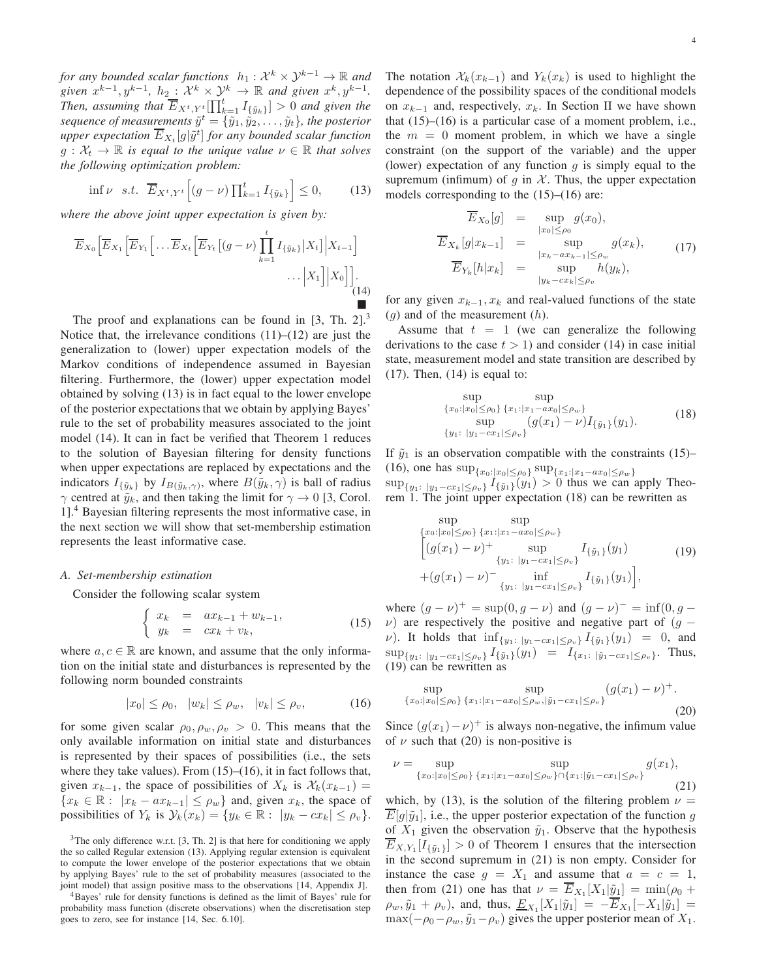*for any bounded scalar functions*  $h_1: \mathcal{X}^k \times \mathcal{Y}^{k-1} \to \mathbb{R}$  and given  $x^{k-1}$ ,  $y^{k-1}$ ,  $h_2$ :  $\mathcal{X}^k \times \mathcal{Y}^k \to \mathbb{R}$  and given  $x^k$ ,  $y^{k-1}$ . *Then, assuming that*  $\overline{E}_{X^t, Y^t}[\prod_{k=1}^t I_{\{\tilde{y}_k\}}] > 0$  *and given the* sequence of measurements  $\tilde{y}^t = \{\tilde{y}_1, \tilde{y}_2, \ldots, \tilde{y}_t\}$ , the posterior upper expectation  $\overline{E}_{X_t}[g|\tilde{y}^t]$  for any bounded scalar function  $g: \mathcal{X}_t \to \mathbb{R}$  *is equal to the unique value*  $\nu \in \mathbb{R}$  *that solves the following optimization problem:*

$$
\inf \nu \quad s.t. \quad \overline{E}_{X^t, Y^t} \Big[ (g - \nu) \prod_{k=1}^t I_{\{\tilde{y}_k\}} \Big] \le 0, \tag{13}
$$

*where the above joint upper expectation is given by:*

$$
\overline{E}_{X_0}\Big[\overline{E}_{X_1}\Big[\overline{E}_{Y_1}\Big[\dots\overline{E}_{X_t}\Big[\overline{E}_{Y_t}\big[(g-\nu)\prod_{k=1}^t I_{\{\tilde{y}_k\}}\big|X_t\big]\Big|X_{t-1}\Big]\big]\dots\Big|\overline{X_1}\Big]\Big|X_0\Big]\Big]\dots\tag{14}
$$

The proof and explanations can be found in  $[3, Th, 2]$ .<sup>3</sup> Notice that, the irrelevance conditions  $(11)$ – $(12)$  are just the generalization to (lower) upper expectation models of the Markov conditions of independence assumed in Bayesian filtering. Furthermore, the (lower) upper expectation model obtained by solving (13) is in fact equal to the lower envelope of the posterior expectations that we obtain by applying Bayes' rule to the set of probability measures associated to the joint model (14). It can in fact be verified that Theorem 1 reduces to the solution of Bayesian filtering for density functions when upper expectations are replaced by expectations and the indicators  $I_{\{\tilde{y}_k\}}$  by  $I_{B(\tilde{y}_k,\gamma)}$ , where  $B(\tilde{y}_k,\gamma)$  is ball of radius  $\gamma$  centred at  $\tilde{y}_k$ , and then taking the limit for  $\gamma \to 0$  [3, Corol. 1].<sup>4</sup> Bayesian filtering represents the most informative case, in the next section we will show that set-membership estimation represents the least informative case.

#### *A. Set-membership estimation*

Consider the following scalar system

$$
\begin{cases}\nx_k = ax_{k-1} + w_{k-1}, \\
y_k = cx_k + v_k,\n\end{cases}
$$
\n(15)

where  $a, c \in \mathbb{R}$  are known, and assume that the only information on the initial state and disturbances is represented by the following norm bounded constraints

$$
|x_0| \le \rho_0, \quad |w_k| \le \rho_w, \quad |v_k| \le \rho_v,\tag{16}
$$

for some given scalar  $\rho_0$ ,  $\rho_w$ ,  $\rho_v > 0$ . This means that the only available information on initial state and disturbances is represented by their spaces of possibilities (i.e., the sets where they take values). From  $(15)$ – $(16)$ , it in fact follows that, given  $x_{k-1}$ , the space of possibilities of  $X_k$  is  $\mathcal{X}_k(x_{k-1}) =$  ${x_k \in \mathbb{R} : |x_k - ax_{k-1}| \leq \rho_w}$  and, given  $x_k$ , the space of possibilities of  $Y_k$  is  $\mathcal{Y}_k(x_k) = \{y_k \in \mathbb{R} : |y_k - cx_k| \le \rho_v\}.$ 

The notation  $\mathcal{X}_k(x_{k-1})$  and  $Y_k(x_k)$  is used to highlight the

dependence of the possibility spaces of the conditional models on  $x_{k-1}$  and, respectively,  $x_k$ . In Section II we have shown that (15)–(16) is a particular case of a moment problem, i.e., the  $m = 0$  moment problem, in which we have a single constraint (on the support of the variable) and the upper (lower) expectation of any function  $q$  is simply equal to the supremum (infimum) of q in  $\mathcal X$ . Thus, the upper expectation models corresponding to the  $(15)$ – $(16)$  are:

$$
\overline{E}_{X_0}[g] = \sup_{|x_0| \le \rho_0} g(x_0),
$$
\n
$$
\overline{E}_{X_k}[g|x_{k-1}] = \sup_{|x_k - ax_{k-1}| \le \rho_w} g(x_k),
$$
\n
$$
\overline{E}_{Y_k}[h|x_k] = \sup_{|y_k - cx_k| \le \rho_v} h(y_k),
$$
\n(17)

for any given  $x_{k-1}$ ,  $x_k$  and real-valued functions of the state  $(q)$  and of the measurement  $(h)$ .

Assume that  $t = 1$  (we can generalize the following derivations to the case  $t > 1$ ) and consider (14) in case initial state, measurement model and state transition are described by  $(17)$ . Then,  $(14)$  is equal to:

$$
\sup_{\{x_0:|x_0|\leq\rho_0\}} \sup_{\{x_1:|x_1 - ax_0|\leq\rho_w\}} \sup_{\{y_1: |y_1 - cx_1|\leq\rho_v\}} (g(x_1) - \nu) I_{\{\tilde{y}_1\}}(y_1).
$$
\n(18)

If  $\tilde{y}_1$  is an observation compatible with the constraints (15)– (16), one has  $\sup_{x_0:|x_0|\leq \rho_0} \sup_{x_1:|x_1-x_0|\leq \rho_w}$  $\sup_{\{y_1:\;|y_1-cx_1|\leq \rho_v\}} I_{\{\tilde{y}_1\}}(y_1) > 0$  thus we can apply Theo-

rem 1. The joint upper expectation (18) can be rewritten as

$$
\sup_{\{x_0:\,|x_0|\leq\rho_0\}}\sup_{\{x_1:\,|x_1-ax_0|\leq\rho_w\}}\{\gquad \qquad \text{sup}\qquad \qquad \left[\left(g(x_1)-\nu\right)^+\sup_{\{y_1:\,|y_1-cx_1|\leq\rho_v\}}I_{\{\tilde{y}_1\}}(y_1)\right] \qquad (19) \\ \qquad \qquad +\left(g(x_1)-\nu\right)^-\inf_{\{y_1:\,|y_1-cx_1|\leq\rho_v\}}I_{\{\tilde{y}_1\}}(y_1)\right],
$$

where  $(g - \nu)^+ = \sup(0, g - \nu)$  and  $(g - \nu)^- = \inf(0, g - \nu)$  $\nu$ ) are respectively the positive and negative part of  $(g$  $ν$ ). It holds that inf<sub>{y<sub>1</sub>: |y<sub>1</sub>-cx<sub>1</sub>|≤ρ<sub>v</sub>}</sub>  $I_{\{\tilde{y}_1\}}(y_1) = 0$ , and  $\sup_{\{y_1:\;|y_1-cx_1|\leq \rho_v\}} I_{\{\tilde{y}_1\}}(y_1) = I_{\{x_1:\;|\tilde{y}_1-cx_1|\leq \rho_v\}}.$  Thus, (19) can be rewritten as

$$
\sup_{\{x_0:|x_0|\leq \rho_0\}} \sup_{\{x_1:|x_1 - ax_0|\leq \rho_w, |\tilde{y}_1 - cx_1|\leq \rho_v\}} (g(x_1) - \nu)^+.
$$
\n(20)

Since  $(g(x_1) - \nu)^+$  is always non-negative, the infimum value of  $\nu$  such that (20) is non-positive is

$$
\nu = \sup_{\{x_0: |x_0| \le \rho_0\}} \sup_{\{x_1: |x_1 - ax_0| \le \rho_w\} \cap \{x_1: |\tilde{y}_1 - cx_1| \le \rho_v\}} g(x_1),\tag{21}
$$

which, by (13), is the solution of the filtering problem  $\nu =$  $\overline{E}[g|\tilde{y}_1]$ , i.e., the upper posterior expectation of the function g of  $X_1$  given the observation  $\tilde{y}_1$ . Observe that the hypothesis  $E_{X,Y_1}[I_{\{\tilde{y}_1\}}] > 0$  of Theorem 1 ensures that the intersection in the second supremum in (21) is non empty. Consider for instance the case  $g = X_1$  and assume that  $a = c = 1$ , then from (21) one has that  $\nu = E_{X_1}[X_1|\tilde{y}_1] = \min(\rho_0 +$  $\rho_w, \tilde{y}_1 + \rho_v$ ), and, thus,  $\underline{E}_{X_1}[X_1|\tilde{y}_1] = -E_{X_1}[-X_1|\tilde{y}_1] =$  $\max(-\rho_0-\rho_w, \tilde{y}_1-\rho_v)$  gives the upper posterior mean of  $X_1$ .

 $3$ The only difference w.r.t. [3, Th. 2] is that here for conditioning we apply the so called Regular extension (13). Applying regular extension is equivalent to compute the lower envelope of the posterior expectations that we obtain by applying Bayes' rule to the set of probability measures (associated to the joint model) that assign positive mass to the observations [14, Appendix J].

<sup>4</sup>Bayes' rule for density functions is defined as the limit of Bayes' rule for probability mass function (discrete observations) when the discretisation step goes to zero, see for instance [14, Sec. 6.10].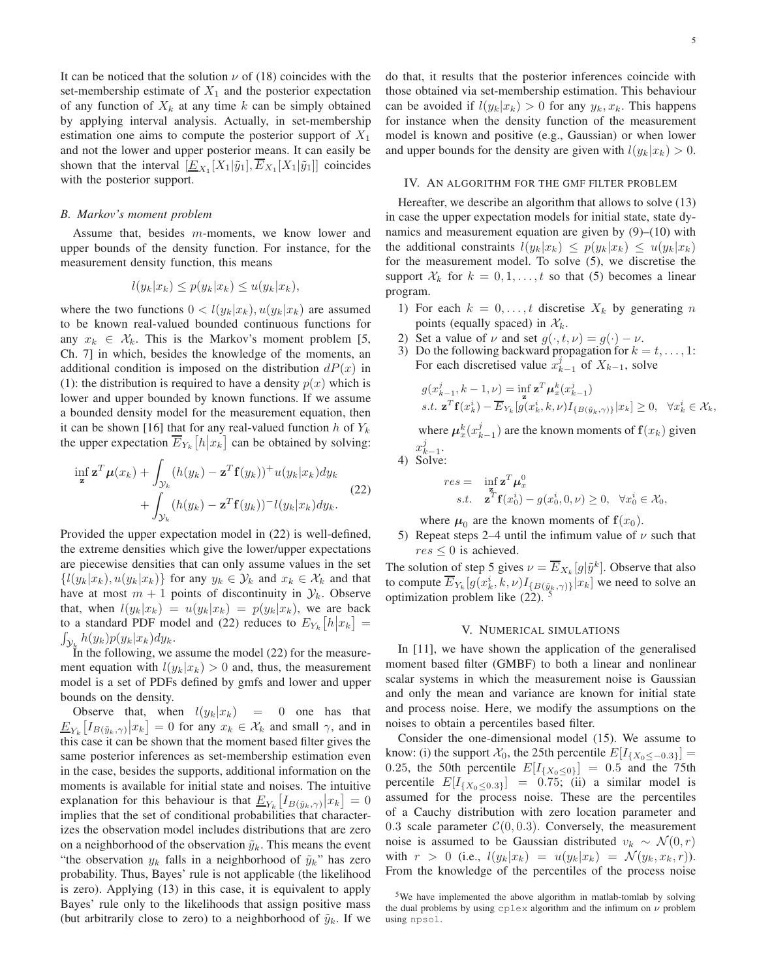It can be noticed that the solution  $\nu$  of (18) coincides with the set-membership estimate of  $X_1$  and the posterior expectation of any function of  $X_k$  at any time k can be simply obtained by applying interval analysis. Actually, in set-membership estimation one aims to compute the posterior support of  $X_1$ and not the lower and upper posterior means. It can easily be shown that the interval  $[\underline{E}_{X_1}[X_1|\tilde{y}_1], E_{X_1}[X_1|\tilde{y}_1]]$  coincides with the posterior support.

#### *B. Markov's moment problem*

Assume that, besides m-moments, we know lower and upper bounds of the density function. For instance, for the measurement density function, this means

$$
l(y_k|x_k) \le p(y_k|x_k) \le u(y_k|x_k),
$$

where the two functions  $0 < l(y_k|x_k), u(y_k|x_k)$  are assumed to be known real-valued bounded continuous functions for any  $x_k \in \mathcal{X}_k$ . This is the Markov's moment problem [5, Ch. 7] in which, besides the knowledge of the moments, an additional condition is imposed on the distribution  $dP(x)$  in (1): the distribution is required to have a density  $p(x)$  which is lower and upper bounded by known functions. If we assume a bounded density model for the measurement equation, then it can be shown [16] that for any real-valued function h of  $Y_k$ the upper expectation  $\overline{E}_{Y_k}[h|x_k]$  can be obtained by solving:

$$
\inf_{\mathbf{z}} \mathbf{z}^T \boldsymbol{\mu}(x_k) + \int_{\mathcal{Y}_k} (h(y_k) - \mathbf{z}^T \mathbf{f}(y_k))^+ u(y_k | x_k) dy_k
$$
  
+ 
$$
\int_{\mathcal{Y}_k} (h(y_k) - \mathbf{z}^T \mathbf{f}(y_k))^-\mathbf{l}(y_k | x_k) dy_k.
$$
 (22)

Provided the upper expectation model in (22) is well-defined, the extreme densities which give the lower/upper expectations are piecewise densities that can only assume values in the set  $\{l(y_k|x_k), u(y_k|x_k)\}\$  for any  $y_k \in \mathcal{Y}_k$  and  $x_k \in \mathcal{X}_k$  and that have at most  $m + 1$  points of discontinuity in  $\mathcal{Y}_k$ . Observe that, when  $l(y_k|x_k) = u(y_k|x_k) = p(y_k|x_k)$ , we are back to a standard PDF model and (22) reduces to  $E_{Y_k}[h|x_k] =$  $\int_{\mathcal{Y}_k} h(y_k)p(y_k|x_k)dy_k.$ 

In the following, we assume the model (22) for the measurement equation with  $l(y_k|x_k) > 0$  and, thus, the measurement model is a set of PDFs defined by gmfs and lower and upper bounds on the density.

Observe that, when  $l(y_k|x_k) = 0$  one has that  $\underline{E}_{Y_k}[I_{B(\tilde{y}_k,\gamma)}|x_k] = 0$  for any  $x_k \in \mathcal{X}_k$  and small  $\gamma$ , and in this case it can be shown that the moment based filter gives the same posterior inferences as set-membership estimation even in the case, besides the supports, additional information on the moments is available for initial state and noises. The intuitive explanation for this behaviour is that  $\underline{E}_{Y_k}[I_{B(\tilde{y}_k,\gamma)}|x_k] = 0$ implies that the set of conditional probabilities that characterizes the observation model includes distributions that are zero on a neighborhood of the observation  $\tilde{y}_k$ . This means the event "the observation  $y_k$  falls in a neighborhood of  $\tilde{y}_k$ " has zero probability. Thus, Bayes' rule is not applicable (the likelihood is zero). Applying (13) in this case, it is equivalent to apply Bayes' rule only to the likelihoods that assign positive mass (but arbitrarily close to zero) to a neighborhood of  $\tilde{y}_k$ . If we do that, it results that the posterior inferences coincide with those obtained via set-membership estimation. This behaviour can be avoided if  $l(y_k|x_k) > 0$  for any  $y_k, x_k$ . This happens for instance when the density function of the measurement model is known and positive (e.g., Gaussian) or when lower and upper bounds for the density are given with  $l(y_k|x_k) > 0$ .

## IV. AN ALGORITHM FOR THE GMF FILTER PROBLEM

Hereafter, we describe an algorithm that allows to solve (13) in case the upper expectation models for initial state, state dynamics and measurement equation are given by (9)–(10) with the additional constraints  $l(y_k|x_k) \leq p(y_k|x_k) \leq u(y_k|x_k)$ for the measurement model. To solve (5), we discretise the support  $\mathcal{X}_k$  for  $k = 0, 1, \ldots, t$  so that (5) becomes a linear program.

- 1) For each  $k = 0, \ldots, t$  discretise  $X_k$  by generating n points (equally spaced) in  $\mathcal{X}_k$ .
- 2) Set a value of  $\nu$  and set  $g(\cdot, t, \nu) = g(\cdot) \nu$ .<br>3) Do the following backward propagation for  $k =$
- Do the following backward propagation for  $k = t, \ldots, 1$ : For each discretised value  $x_{k-1}^j$  of  $X_{k-1}$ , solve

$$
g(x_{k-1}^j, k-1, \nu) = \inf_{\mathbf{z}} \mathbf{z}^T \boldsymbol{\mu}_x^k(x_{k-1}^j)
$$
  
s.t.  $\mathbf{z}^T \mathbf{f}(x_k^i) - \overline{E}_{Y_k} [g(x_k^i, k, \nu) I_{\{B(\tilde{y}_k, \gamma)\}} | x_k] \ge 0, \quad \forall x_k^i \in \mathcal{X}_k$ 

where  $\mu_x^k(x_{k-1}^j)$  are the known moments of  $f(x_k)$  given  $x_{k-1}^j$ .

4) Solve:

$$
\begin{array}{rcl}\nres = & \inf_{\mathbf{z}} \mathbf{z}^T \boldsymbol{\mu}_x^0 \\
s.t. & \mathbf{z}^T \mathbf{f}(x_0^i) - g(x_0^i, 0, \nu) \ge 0, \quad \forall x_0^i \in \mathcal{X}_0,\n\end{array}
$$

where  $\mu_0$  are the known moments of  $f(x_0)$ .

5) Repeat steps 2–4 until the infimum value of  $\nu$  such that  $res \leq 0$  is achieved.

The solution of step 5 gives  $\nu = \overline{E}_{X_k}[g|\tilde{y}^k]$ . Observe that also to compute  $\overline{E}_{Y_k}[g(x_k^i, k, \nu)I_{\{B(\tilde{y}_k, \gamma)\}}|x_k]$  we need to solve an optimization problem like (22).

## V. NUMERICAL SIMULATIONS

In [11], we have shown the application of the generalised moment based filter (GMBF) to both a linear and nonlinear scalar systems in which the measurement noise is Gaussian and only the mean and variance are known for initial state and process noise. Here, we modify the assumptions on the noises to obtain a percentiles based filter.

Consider the one-dimensional model (15). We assume to know: (i) the support  $\mathcal{X}_0$ , the 25th percentile  $E[I_{\{X_0 \le -0.3\}}]$  = 0.25, the 50th percentile  $E[I_{\{X_0 \le 0\}}] = 0.5$  and the 75th percentile  $E[I_{\{X_0 \le 0.3\}}] = 0.75$ ; (ii) a similar model is assumed for the process noise. These are the percentiles of a Cauchy distribution with zero location parameter and 0.3 scale parameter  $C(0, 0.3)$ . Conversely, the measurement noise is assumed to be Gaussian distributed  $v_k \sim \mathcal{N}(0,r)$ with  $r > 0$  (i.e.,  $l(y_k|x_k) = u(y_k|x_k) = \mathcal{N}(y_k, x_k, r)$ ). From the knowledge of the percentiles of the process noise

<sup>&</sup>lt;sup>5</sup>We have implemented the above algorithm in matlab-tomlab by solving the dual problems by using cplex algorithm and the infimum on  $\nu$  problem using npsol.